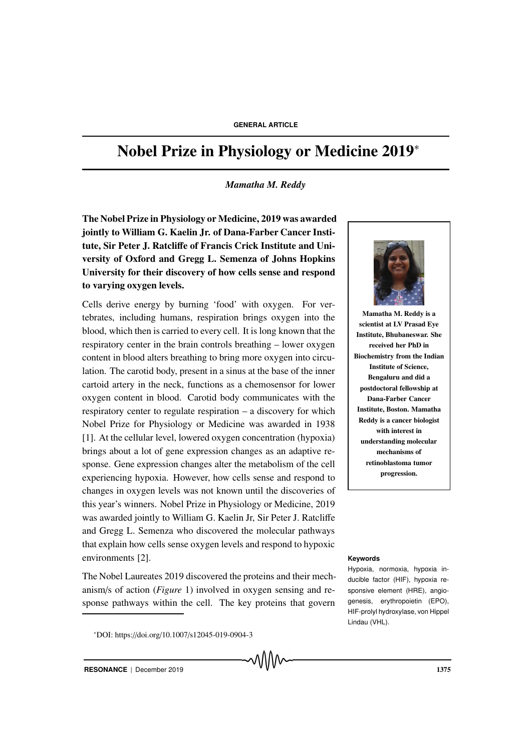# Nobel Prize in Physiology or Medicine 2019<sup>∗</sup>

#### *Mamatha M. Reddy*

The Nobel Prize in Physiology or Medicine, 2019 was awarded jointly to William G. Kaelin Jr. of Dana-Farber Cancer Institute, Sir Peter J. Ratcliffe of Francis Crick Institute and University of Oxford and Gregg L. Semenza of Johns Hopkins University for their discovery of how cells sense and respond to varying oxygen levels.

Cells derive energy by burning 'food' with oxygen. For vertebrates, including humans, respiration brings oxygen into the blood, which then is carried to every cell. It is long known that the respiratory center in the brain controls breathing – lower oxygen content in blood alters breathing to bring more oxygen into circulation. The carotid body, present in a sinus at the base of the inner cartoid artery in the neck, functions as a chemosensor for lower oxygen content in blood. Carotid body communicates with the respiratory center to regulate respiration – a discovery for which Nobel Prize for Physiology or Medicine was awarded in 1938 [1]. At the cellular level, lowered oxygen concentration (hypoxia) brings about a lot of gene expression changes as an adaptive response. Gene expression changes alter the metabolism of the cell experiencing hypoxia. However, how cells sense and respond to changes in oxygen levels was not known until the discoveries of this year's winners. Nobel Prize in Physiology or Medicine, 2019 was awarded jointly to William G. Kaelin Jr, Sir Peter J. Ratcliffe and Gregg L. Semenza who discovered the molecular pathways that explain how cells sense oxygen levels and respond to hypoxic environments [2]. **Keywords**

The Nobel Laureates 2019 discovered the proteins and their mechanism/s of action (*Figure* 1) involved in oxygen sensing and response pathways within the cell. The key proteins that govern

<sup>∗</sup>DOI: https://doi.org/10.1007/s12045-019-0904-3





Mamatha M. Reddy is a scientist at LV Prasad Eye Institute, Bhubaneswar. She received her PhD in Biochemistry from the Indian Institute of Science, Bengaluru and did a postdoctoral fellowship at Dana-Farber Cancer Institute, Boston. Mamatha Reddy is a cancer biologist with interest in understanding molecular mechanisms of retinoblastoma tumor progression.

Hypoxia, normoxia, hypoxia inducible factor (HIF), hypoxia responsive element (HRE), angiogenesis, erythropoietin (EPO), HIF-prolyl hydroxylase, von Hippel Lindau (VHL).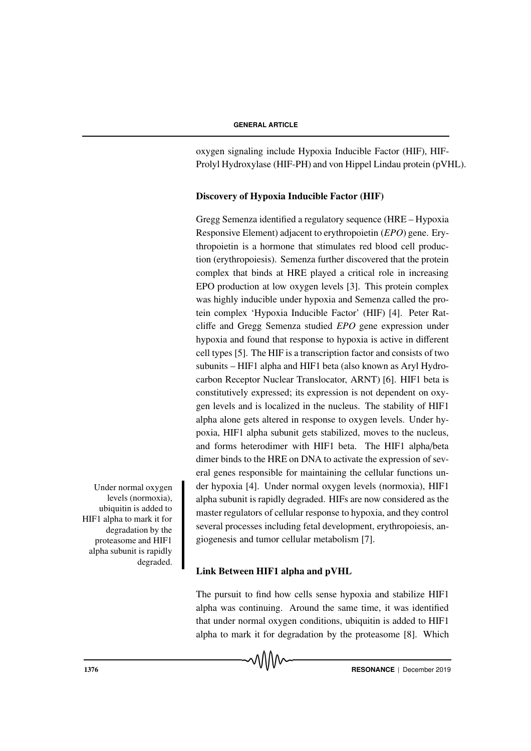oxygen signaling include Hypoxia Inducible Factor (HIF), HIF-Prolyl Hydroxylase (HIF-PH) and von Hippel Lindau protein (pVHL).

### Discovery of Hypoxia Inducible Factor (HIF)

Gregg Semenza identified a regulatory sequence (HRE – Hypoxia Responsive Element) adjacent to erythropoietin (*EPO*) gene. Erythropoietin is a hormone that stimulates red blood cell production (erythropoiesis). Semenza further discovered that the protein complex that binds at HRE played a critical role in increasing EPO production at low oxygen levels [3]. This protein complex was highly inducible under hypoxia and Semenza called the protein complex 'Hypoxia Inducible Factor' (HIF) [4]. Peter Ratcliffe and Gregg Semenza studied *EPO* gene expression under hypoxia and found that response to hypoxia is active in different cell types [5]. The HIF is a transcription factor and consists of two subunits – HIF1 alpha and HIF1 beta (also known as Aryl Hydrocarbon Receptor Nuclear Translocator, ARNT) [6]. HIF1 beta is constitutively expressed; its expression is not dependent on oxygen levels and is localized in the nucleus. The stability of HIF1 alpha alone gets altered in response to oxygen levels. Under hypoxia, HIF1 alpha subunit gets stabilized, moves to the nucleus, and forms heterodimer with HIF1 beta. The HIF1 alpha/beta dimer binds to the HRE on DNA to activate the expression of several genes responsible for maintaining the cellular functions un-Under normal oxygen der hypoxia [4]. Under normal oxygen levels (normoxia), HIF1 alpha subunit is rapidly degraded. HIFs are now considered as the master regulators of cellular response to hypoxia, and they control several processes including fetal development, erythropoiesis, angiogenesis and tumor cellular metabolism [7].

# Link Between HIF1 alpha and pVHL

The pursuit to find how cells sense hypoxia and stabilize HIF1 alpha was continuing. Around the same time, it was identified that under normal oxygen conditions, ubiquitin is added to HIF1 alpha to mark it for degradation by the proteasome [8]. Which

levels (normoxia), ubiquitin is added to HIF1 alpha to mark it for degradation by the proteasome and HIF1 alpha subunit is rapidly degraded.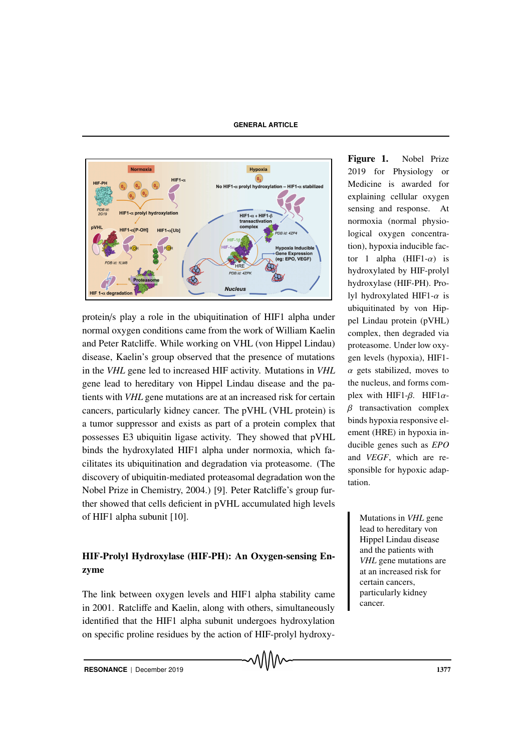

protein/s play a role in the ubiquitination of HIF1 alpha under normal oxygen conditions came from the work of William Kaelin and Peter Ratcliffe. While working on VHL (von Hippel Lindau) disease, Kaelin's group observed that the presence of mutations in the *VHL* gene led to increased HIF activity. Mutations in *VHL* gene lead to hereditary von Hippel Lindau disease and the patients with *VHL* gene mutations are at an increased risk for certain cancers, particularly kidney cancer. The pVHL (VHL protein) is a tumor suppressor and exists as part of a protein complex that possesses E3 ubiquitin ligase activity. They showed that pVHL binds the hydroxylated HIF1 alpha under normoxia, which facilitates its ubiquitination and degradation via proteasome. (The discovery of ubiquitin-mediated proteasomal degradation won the Nobel Prize in Chemistry, 2004.) [9]. Peter Ratcliffe's group further showed that cells deficient in pVHL accumulated high levels of HIF1 alpha subunit [10]. Mutations in *VHL* gene

# HIF-Prolyl Hydroxylase (HIF-PH): An Oxygen-sensing Enzyme

The link between oxygen levels and HIF1 alpha stability came in 2001. Ratcliffe and Kaelin, along with others, simultaneously identified that the HIF1 alpha subunit undergoes hydroxylation on specific proline residues by the action of HIF-prolyl hydroxy-

Figure 1. Nobel Prize 2019 for Physiology or Medicine is awarded for explaining cellular oxygen sensing and response. At normoxia (normal physiological oxygen concentration), hypoxia inducible factor 1 alpha (HIF1- $\alpha$ ) is hydroxylated by HIF-prolyl hydroxylase (HIF-PH). Prolyl hydroxylated HIF1- $\alpha$  is ubiquitinated by von Hippel Lindau protein (pVHL) complex, then degraded via proteasome. Under low oxygen levels (hypoxia), HIF1-  $\alpha$  gets stabilized, moves to the nucleus, and forms complex with HIF1- $\beta$ . HIF1 $\alpha$ - $\beta$  transactivation complex binds hypoxia responsive element (HRE) in hypoxia inducible genes such as *EPO* and *VEGF*, which are responsible for hypoxic adaptation.

> lead to hereditary von Hippel Lindau disease and the patients with *VHL* gene mutations are at an increased risk for certain cancers, particularly kidney cancer.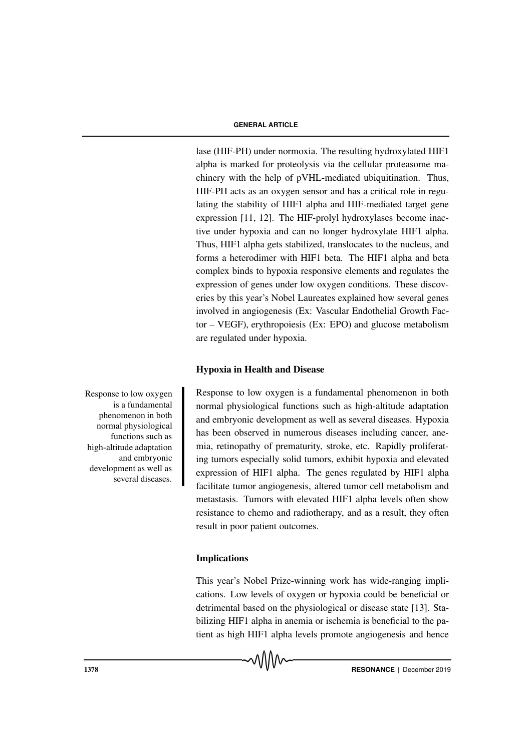lase (HIF-PH) under normoxia. The resulting hydroxylated HIF1 alpha is marked for proteolysis via the cellular proteasome machinery with the help of pVHL-mediated ubiquitination. Thus, HIF-PH acts as an oxygen sensor and has a critical role in regulating the stability of HIF1 alpha and HIF-mediated target gene expression [11, 12]. The HIF-prolyl hydroxylases become inactive under hypoxia and can no longer hydroxylate HIF1 alpha. Thus, HIF1 alpha gets stabilized, translocates to the nucleus, and forms a heterodimer with HIF1 beta. The HIF1 alpha and beta complex binds to hypoxia responsive elements and regulates the expression of genes under low oxygen conditions. These discoveries by this year's Nobel Laureates explained how several genes involved in angiogenesis (Ex: Vascular Endothelial Growth Factor – VEGF), erythropoiesis (Ex: EPO) and glucose metabolism are regulated under hypoxia.

### Hypoxia in Health and Disease

Response to low oxygen is a fundamental phenomenon in both normal physiological functions such as high-altitude adaptation and embryonic development as well as several diseases. Hypoxia has been observed in numerous diseases including cancer, anemia, retinopathy of prematurity, stroke, etc. Rapidly proliferating tumors especially solid tumors, exhibit hypoxia and elevated expression of HIF1 alpha. The genes regulated by HIF1 alpha facilitate tumor angiogenesis, altered tumor cell metabolism and metastasis. Tumors with elevated HIF1 alpha levels often show resistance to chemo and radiotherapy, and as a result, they often result in poor patient outcomes.

# Implications

This year's Nobel Prize-winning work has wide-ranging implications. Low levels of oxygen or hypoxia could be beneficial or detrimental based on the physiological or disease state [13]. Stabilizing HIF1 alpha in anemia or ischemia is beneficial to the patient as high HIF1 alpha levels promote angiogenesis and hence

Response to low oxygen is a fundamental phenomenon in both normal physiological functions such as high-altitude adaptation and embryonic development as well as several diseases.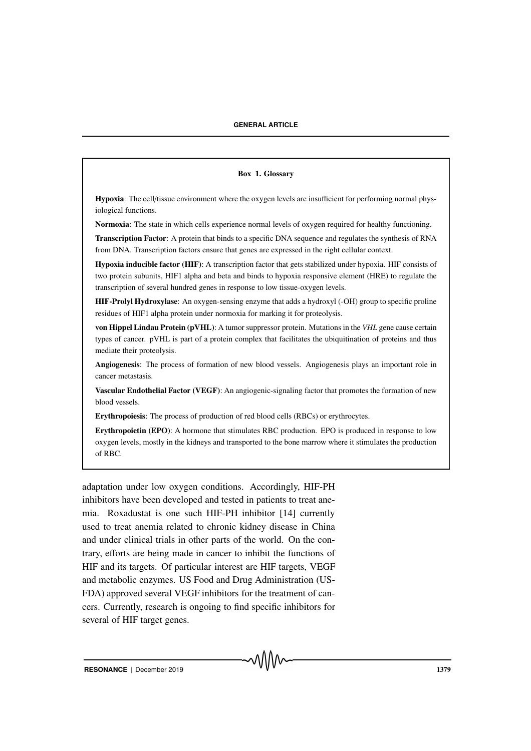#### Box 1. Glossary

Hypoxia: The cell/tissue environment where the oxygen levels are insufficient for performing normal physiological functions.

Normoxia: The state in which cells experience normal levels of oxygen required for healthy functioning.

Transcription Factor: A protein that binds to a specific DNA sequence and regulates the synthesis of RNA from DNA. Transcription factors ensure that genes are expressed in the right cellular context.

Hypoxia inducible factor (HIF): A transcription factor that gets stabilized under hypoxia. HIF consists of two protein subunits, HIF1 alpha and beta and binds to hypoxia responsive element (HRE) to regulate the transcription of several hundred genes in response to low tissue-oxygen levels.

HIF-Prolyl Hydroxylase: An oxygen-sensing enzyme that adds a hydroxyl (-OH) group to specific proline residues of HIF1 alpha protein under normoxia for marking it for proteolysis.

von Hippel Lindau Protein (pVHL): A tumor suppressor protein. Mutations in the *VHL* gene cause certain types of cancer. pVHL is part of a protein complex that facilitates the ubiquitination of proteins and thus mediate their proteolysis.

Angiogenesis: The process of formation of new blood vessels. Angiogenesis plays an important role in cancer metastasis.

Vascular Endothelial Factor (VEGF): An angiogenic-signaling factor that promotes the formation of new blood vessels.

Erythropoiesis: The process of production of red blood cells (RBCs) or erythrocytes.

Erythropoietin (EPO): A hormone that stimulates RBC production. EPO is produced in response to low oxygen levels, mostly in the kidneys and transported to the bone marrow where it stimulates the production of RBC.

adaptation under low oxygen conditions. Accordingly, HIF-PH inhibitors have been developed and tested in patients to treat anemia. Roxadustat is one such HIF-PH inhibitor [14] currently used to treat anemia related to chronic kidney disease in China and under clinical trials in other parts of the world. On the contrary, efforts are being made in cancer to inhibit the functions of HIF and its targets. Of particular interest are HIF targets, VEGF and metabolic enzymes. US Food and Drug Administration (US-FDA) approved several VEGF inhibitors for the treatment of cancers. Currently, research is ongoing to find specific inhibitors for several of HIF target genes.